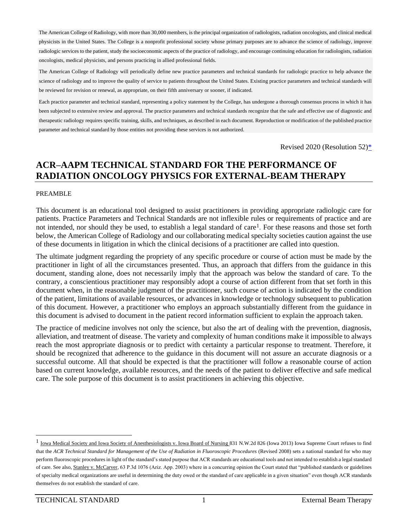The American College of Radiology, with more than 30,000 members, is the principal organization of radiologists, radiation oncologists, and clinical medical physicists in the United States. The College is a nonprofit professional society whose primary purposes are to advance the science of radiology, improve radiologic services to the patient, study the socioeconomic aspects of the practice of radiology, and encourage continuing education for radiologists, radiation oncologists, medical physicists, and persons practicing in allied professional fields.

The American College of Radiology will periodically define new practice parameters and technical standards for radiologic practice to help advance the science of radiology and to improve the quality of service to patients throughout the United States. Existing practice parameters and technical standards will be reviewed for revision or renewal, as appropriate, on their fifth anniversary or sooner, if indicated.

Each practice parameter and technical standard, representing a policy statement by the College, has undergone a thorough consensus process in which it has been subjected to extensive review and approval. The practice parameters and technical standards recognize that the safe and effective use of diagnostic and therapeutic radiology requires specific training, skills, and techniques, as described in each document. Reproduction or modification of the published practice parameter and technical standard by those entities not providing these services is not authorized.

Revised 2020 (Resolution 52[\)\\*](#page-12-0)

# **ACR–AAPM TECHNICAL STANDARD FOR THE PERFORMANCE OF RADIATION ONCOLOGY PHYSICS FOR EXTERNAL-BEAM THERAPY**

#### PREAMBLE

This document is an educational tool designed to assist practitioners in providing appropriate radiologic care for patients. Practice Parameters and Technical Standards are not inflexible rules or requirements of practice and are not intended, nor should they be used, to establish a legal standard of care<sup>1</sup>. For these reasons and those set forth below, the American College of Radiology and our collaborating medical specialty societies caution against the use of these documents in litigation in which the clinical decisions of a practitioner are called into question.

The ultimate judgment regarding the propriety of any specific procedure or course of action must be made by the practitioner in light of all the circumstances presented. Thus, an approach that differs from the guidance in this document, standing alone, does not necessarily imply that the approach was below the standard of care. To the contrary, a conscientious practitioner may responsibly adopt a course of action different from that set forth in this document when, in the reasonable judgment of the practitioner, such course of action is indicated by the condition of the patient, limitations of available resources, or advances in knowledge or technology subsequent to publication of this document. However, a practitioner who employs an approach substantially different from the guidance in this document is advised to document in the patient record information sufficient to explain the approach taken.

The practice of medicine involves not only the science, but also the art of dealing with the prevention, diagnosis, alleviation, and treatment of disease. The variety and complexity of human conditions make it impossible to always reach the most appropriate diagnosis or to predict with certainty a particular response to treatment. Therefore, it should be recognized that adherence to the guidance in this document will not assure an accurate diagnosis or a successful outcome. All that should be expected is that the practitioner will follow a reasonable course of action based on current knowledge, available resources, and the needs of the patient to deliver effective and safe medical care. The sole purpose of this document is to assist practitioners in achieving this objective.

<sup>&</sup>lt;sup>1</sup> Iowa Medical Society and Iowa Society of Anesthesiologists v. Iowa Board of Nursing 831 N.W.2d 826 (Iowa 2013) Iowa Supreme Court refuses to find that the *ACR Technical Standard for Management of the Use of Radiation in Fluoroscopic Procedures* (Revised 2008) sets a national standard for who may perform fluoroscopic procedures in light of the standard's stated purpose that ACR standards are educational tools and not intended to establish a legal standard of care. See also, Stanley v. McCarver, 63 P.3d 1076 (Ariz. App. 2003) where in a concurring opinion the Court stated that "published standards or guidelines of specialty medical organizations are useful in determining the duty owed or the standard of care applicable in a given situation" even though ACR standards themselves do not establish the standard of care.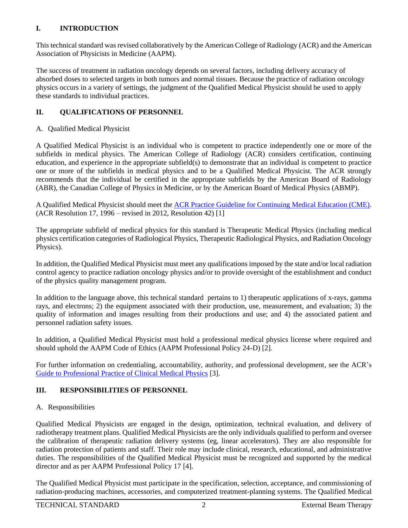# **I. INTRODUCTION**

This technical standard was revised collaboratively by the American College of Radiology (ACR) and the American Association of Physicists in Medicine (AAPM).

The success of treatment in radiation oncology depends on several factors, including delivery accuracy of absorbed doses to selected targets in both tumors and normal tissues. Because the practice of radiation oncology physics occurs in a variety of settings, the judgment of the Qualified Medical Physicist should be used to apply these standards to individual practices.

# **II. QUALIFICATIONS OF PERSONNEL**

# A. Qualified Medical Physicist

A Qualified Medical Physicist is an individual who is competent to practice independently one or more of the subfields in medical physics. The American College of Radiology (ACR) considers certification, continuing education, and experience in the appropriate subfield(s) to demonstrate that an individual is competent to practice one or more of the subfields in medical physics and to be a Qualified Medical Physicist. The ACR strongly recommends that the individual be certified in the appropriate subfields by the American Board of Radiology (ABR), the Canadian College of Physics in Medicine, or by the American Board of Medical Physics (ABMP).

A Qualified Medical Physicist should meet the [ACR Practice Guideline for Continuing Medical Education \(CME\).](https://www.acr.org/-/media/ACR/Files/Practice-Parameters/CME.pdf?la=en) (ACR Resolution 17, 1996 – revised in 2012, Resolution 42) [\[1\]](#page-11-0)

The appropriate subfield of medical physics for this standard is Therapeutic Medical Physics (including medical physics certification categories of Radiological Physics, Therapeutic Radiological Physics, and Radiation Oncology Physics).

In addition, the Qualified Medical Physicist must meet any qualifications imposed by the state and/or local radiation control agency to practice radiation oncology physics and/or to provide oversight of the establishment and conduct of the physics quality management program.

In addition to the language above, this technical standard pertains to 1) therapeutic applications of x-rays, gamma rays, and electrons; 2) the equipment associated with their production, use, measurement, and evaluation; 3) the quality of information and images resulting from their productions and use; and 4) the associated patient and personnel radiation safety issues.

In addition, a Qualified Medical Physicist must hold a professional medical physics license where required and should uphold the AAPM Code of Ethics (AAPM Professional Policy 24-D) [\[2\]](#page-11-1).

For further information on credentialing, accountability, authority, and professional development, see the ACR's [Guide to Professional Practice of Clinical Medical Physics](https://www.acr.org/-/media/ACR/Files/Member-Resources/Guide_Prof_Practice_Clin_Med_Phys_2018.pdf) [\[3\]](#page-11-2).

# **III. RESPONSIBILITIES OF PERSONNEL**

# A. Responsibilities

Qualified Medical Physicists are engaged in the design, optimization, technical evaluation, and delivery of radiotherapy treatment plans. Qualified Medical Physicists are the only individuals qualified to perform and oversee the calibration of therapeutic radiation delivery systems (eg, linear accelerators). They are also responsible for radiation protection of patients and staff. Their role may include clinical, research, educational, and administrative duties. The responsibilities of the Qualified Medical Physicist must be recognized and supported by the medical director and as per AAPM Professional Policy 17 [\[4\]](#page-11-3).

The Qualified Medical Physicist must participate in the specification, selection, acceptance, and commissioning of radiation-producing machines, accessories, and computerized treatment-planning systems. The Qualified Medical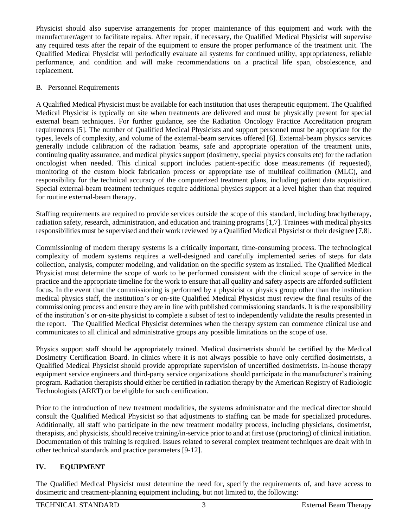Physicist should also supervise arrangements for proper maintenance of this equipment and work with the manufacturer/agent to facilitate repairs. After repair, if necessary, the Qualified Medical Physicist will supervise any required tests after the repair of the equipment to ensure the proper performance of the treatment unit. The Qualified Medical Physicist will periodically evaluate all systems for continued utility, appropriateness, reliable performance, and condition and will make recommendations on a practical life span, obsolescence, and replacement.

# B. Personnel Requirements

A Qualified Medical Physicist must be available for each institution that uses therapeutic equipment. The Qualified Medical Physicist is typically on site when treatments are delivered and must be physically present for special external beam techniques. For further guidance, see the Radiation Oncology Practice Accreditation program requirements [\[5\]](#page-11-4). The number of Qualified Medical Physicists and support personnel must be appropriate for the types, levels of complexity, and volume of the external-beam services offered [\[6\]](#page-11-5). External-beam physics services generally include calibration of the radiation beams, safe and appropriate operation of the treatment units, continuing quality assurance, and medical physics support (dosimetry, special physics consults etc) for the radiation oncologist when needed. This clinical support includes patient-specific dose measurements (if requested), monitoring of the custom block fabrication process or appropriate use of multileaf collimation (MLC), and responsibility for the technical accuracy of the computerized treatment plans, including patient data acquisition. Special external-beam treatment techniques require additional physics support at a level higher than that required for routine external-beam therapy.

Staffing requirements are required to provide services outside the scope of this standard, including brachytherapy, radiation safety, research, administration, and education and training programs [\[1](#page-11-0)[,7\]](#page-11-6). Trainees with medical physics responsibilities must be supervised and their work reviewed by a Qualified Medical Physicist or their designee [\[7,](#page-11-6)[8\]](#page-11-7).

Commissioning of modern therapy systems is a critically important, time-consuming process. The technological complexity of modern systems requires a well-designed and carefully implemented series of steps for data collection, analysis, computer modeling, and validation on the specific system as installed. The Qualified Medical Physicist must determine the scope of work to be performed consistent with the clinical scope of service in the practice and the appropriate timeline for the work to ensure that all quality and safety aspects are afforded sufficient focus. In the event that the commissioning is performed by a physicist or physics group other than the institution medical physics staff, the institution's or on-site Qualified Medical Physicist must review the final results of the commissioning process and ensure they are in line with published commissioning standards. It is the responsibility of the institution's or on-site physicist to complete a subset of test to independently validate the results presented in the report. The Qualified Medical Physicist determines when the therapy system can commence clinical use and communicates to all clinical and administrative groups any possible limitations on the scope of use.

Physics support staff should be appropriately trained. Medical dosimetrists should be certified by the Medical Dosimetry Certification Board. In clinics where it is not always possible to have only certified dosimetrists, a Qualified Medical Physicist should provide appropriate supervision of uncertified dosimetrists. In-house therapy equipment service engineers and third-party service organizations should participate in the manufacturer's training program. Radiation therapists should either be certified in radiation therapy by the American Registry of Radiologic Technologists (ARRT) or be eligible for such certification.

Prior to the introduction of new treatment modalities, the systems administrator and the medical director should consult the Qualified Medical Physicist so that adjustments to staffing can be made for specialized procedures. Additionally, all staff who participate in the new treatment modality process, including physicians, dosimetrist, therapists, and physicists, should receive training/in-service prior to and at first use (proctoring) of clinical initiation. Documentation of this training is required. Issues related to several complex treatment techniques are dealt with in other technical standards and practice parameters [\[9-12\]](#page-11-8).

# **IV. EQUIPMENT**

The Qualified Medical Physicist must determine the need for, specify the requirements of, and have access to dosimetric and treatment-planning equipment including, but not limited to, the following: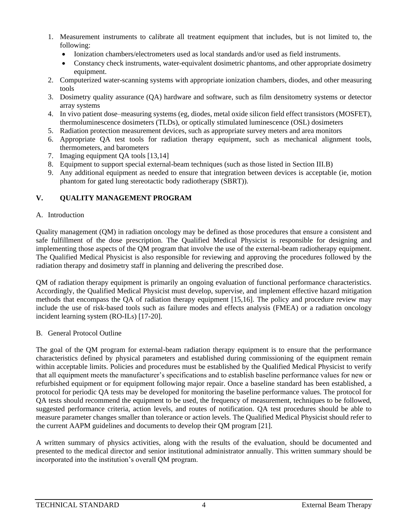- 1. Measurement instruments to calibrate all treatment equipment that includes, but is not limited to, the following:
	- Ionization chambers/electrometers used as local standards and/or used as field instruments.
	- Constancy check instruments, water-equivalent dosimetric phantoms, and other appropriate dosimetry equipment.
- 2. Computerized water-scanning systems with appropriate ionization chambers, diodes, and other measuring tools
- 3. Dosimetry quality assurance (QA) hardware and software, such as film densitometry systems or detector array systems
- 4. In vivo patient dose–measuring systems (eg, diodes, metal oxide silicon field effect transistors (MOSFET), thermoluminescence dosimeters (TLDs), or optically stimulated luminescence (OSL) dosimeters
- 5. Radiation protection measurement devices, such as appropriate survey meters and area monitors
- 6. Appropriate QA test tools for radiation therapy equipment, such as mechanical alignment tools, thermometers, and barometers
- 7. Imaging equipment QA tools [\[13,](#page-11-9)[14\]](#page-11-10)
- 8. Equipment to support special external-beam techniques (such as those listed in Section III.B)
- 9. Any additional equipment as needed to ensure that integration between devices is acceptable (ie, motion phantom for gated lung stereotactic body radiotherapy (SBRT)).

# **V. QUALITY MANAGEMENT PROGRAM**

#### A. Introduction

Quality management (QM) in radiation oncology may be defined as those procedures that ensure a consistent and safe fulfillment of the dose prescription. The Qualified Medical Physicist is responsible for designing and implementing those aspects of the QM program that involve the use of the external-beam radiotherapy equipment. The Qualified Medical Physicist is also responsible for reviewing and approving the procedures followed by the radiation therapy and dosimetry staff in planning and delivering the prescribed dose.

QM of radiation therapy equipment is primarily an ongoing evaluation of functional performance characteristics. Accordingly, the Qualified Medical Physicist must develop, supervise, and implement effective hazard mitigation methods that encompass the QA of radiation therapy equipment [\[15](#page-11-11)[,16\]](#page-11-12). The policy and procedure review may include the use of risk-based tools such as failure modes and effects analysis (FMEA) or a radiation oncology incident learning system (RO-ILs) [\[17-20\]](#page-11-13).

#### B. General Protocol Outline

The goal of the QM program for external-beam radiation therapy equipment is to ensure that the performance characteristics defined by physical parameters and established during commissioning of the equipment remain within acceptable limits. Policies and procedures must be established by the Qualified Medical Physicist to verify that all equipment meets the manufacturer's specifications and to establish baseline performance values for new or refurbished equipment or for equipment following major repair. Once a baseline standard has been established, a protocol for periodic QA tests may be developed for monitoring the baseline performance values. The protocol for QA tests should recommend the equipment to be used, the frequency of measurement, techniques to be followed, suggested performance criteria, action levels, and routes of notification. QA test procedures should be able to measure parameter changes smaller than tolerance or action levels. The Qualified Medical Physicist should refer to the current AAPM guidelines and documents to develop their QM program [\[21\]](#page-11-14).

A written summary of physics activities, along with the results of the evaluation, should be documented and presented to the medical director and senior institutional administrator annually. This written summary should be incorporated into the institution's overall QM program.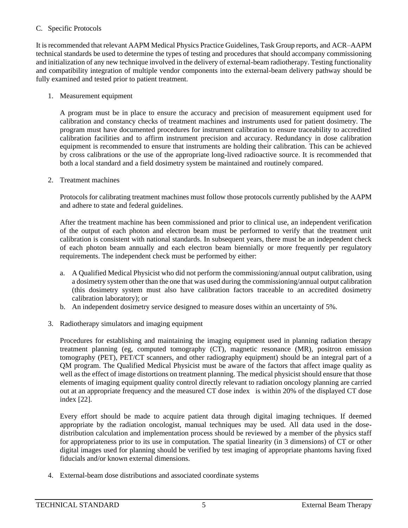# C. Specific Protocols

It is recommended that relevant AAPM Medical Physics Practice Guidelines, Task Group reports, and ACR–AAPM technical standards be used to determine the types of testing and procedures that should accompany commissioning and initialization of any new technique involved in the delivery of external-beam radiotherapy. Testing functionality and compatibility integration of multiple vendor components into the external-beam delivery pathway should be fully examined and tested prior to patient treatment.

1. Measurement equipment

A program must be in place to ensure the accuracy and precision of measurement equipment used for calibration and constancy checks of treatment machines and instruments used for patient dosimetry. The program must have documented procedures for instrument calibration to ensure traceability to accredited calibration facilities and to affirm instrument precision and accuracy. Redundancy in dose calibration equipment is recommended to ensure that instruments are holding their calibration. This can be achieved by cross calibrations or the use of the appropriate long-lived radioactive source. It is recommended that both a local standard and a field dosimetry system be maintained and routinely compared.

2. Treatment machines

Protocols for calibrating treatment machines must follow those protocols currently published by the AAPM and adhere to state and federal guidelines.

After the treatment machine has been commissioned and prior to clinical use, an independent verification of the output of each photon and electron beam must be performed to verify that the treatment unit calibration is consistent with national standards. In subsequent years, there must be an independent check of each photon beam annually and each electron beam biennially or more frequently per regulatory requirements. The independent check must be performed by either:

- a. A Qualified Medical Physicist who did not perform the commissioning/annual output calibration, using a dosimetry system other than the one that was used during the commissioning/annual output calibration (this dosimetry system must also have calibration factors traceable to an accredited dosimetry calibration laboratory); or
- b. An independent dosimetry service designed to measure doses within an uncertainty of 5%.
- 3. Radiotherapy simulators and imaging equipment

Procedures for establishing and maintaining the imaging equipment used in planning radiation therapy treatment planning (eg, computed tomography (CT), magnetic resonance (MR), positron emission tomography (PET), PET/CT scanners, and other radiography equipment) should be an integral part of a QM program. The Qualified Medical Physicist must be aware of the factors that affect image quality as well as the effect of image distortions on treatment planning. The medical physicist should ensure that those elements of imaging equipment quality control directly relevant to radiation oncology planning are carried out at an appropriate frequency and the measured CT dose index is within 20% of the displayed CT dose index [\[22\]](#page-11-15).

Every effort should be made to acquire patient data through digital imaging techniques. If deemed appropriate by the radiation oncologist, manual techniques may be used. All data used in the dosedistribution calculation and implementation process should be reviewed by a member of the physics staff for appropriateness prior to its use in computation. The spatial linearity (in 3 dimensions) of CT or other digital images used for planning should be verified by test imaging of appropriate phantoms having fixed fiducials and/or known external dimensions.

4. External-beam dose distributions and associated coordinate systems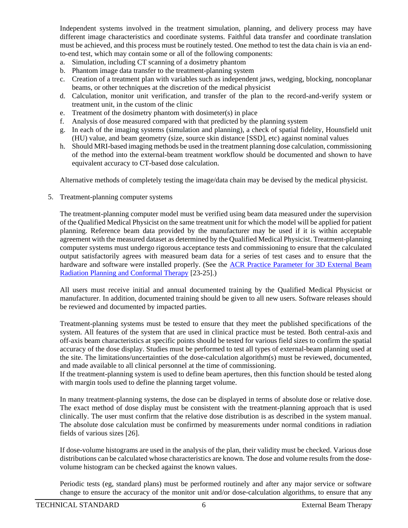Independent systems involved in the treatment simulation, planning, and delivery process may have different image characteristics and coordinate systems. Faithful data transfer and coordinate translation must be achieved, and this process must be routinely tested. One method to test the data chain is via an endto-end test, which may contain some or all of the following components:

- a. Simulation, including CT scanning of a dosimetry phantom
- b. Phantom image data transfer to the treatment-planning system
- c. Creation of a treatment plan with variables such as independent jaws, wedging, blocking, noncoplanar beams, or other techniques at the discretion of the medical physicist
- d. Calculation, monitor unit verification, and transfer of the plan to the record-and-verify system or treatment unit, in the custom of the clinic
- e. Treatment of the dosimetry phantom with dosimeter(s) in place
- f. Analysis of dose measured compared with that predicted by the planning system
- g. In each of the imaging systems (simulation and planning), a check of spatial fidelity, Hounsfield unit (HU) value, and beam geometry (size, source skin distance [SSD], etc) against nominal values
- h. Should MRI-based imaging methods be used in the treatment planning dose calculation, commissioning of the method into the external-beam treatment workflow should be documented and shown to have equivalent accuracy to CT-based dose calculation.

Alternative methods of completely testing the image/data chain may be devised by the medical physicist.

5. Treatment-planning computer systems

The treatment-planning computer model must be verified using beam data measured under the supervision of the Qualified Medical Physicist on the same treatment unit for which the model will be applied for patient planning. Reference beam data provided by the manufacturer may be used if it is within acceptable agreement with the measured dataset as determined by the Qualified Medical Physicist. Treatment-planning computer systems must undergo rigorous acceptance tests and commissioning to ensure that the calculated output satisfactorily agrees with measured beam data for a series of test cases and to ensure that the hardware and software were installed properly. (See the [ACR Practice Parameter for](https://www.acr.org/-/media/ACR/Files/Practice-Parameters/3D-Conformal.pdf?la=en) 3D External Beam [Radiation Planning and Conformal Therapy](https://www.acr.org/-/media/ACR/Files/Practice-Parameters/3D-Conformal.pdf?la=en) [\[23-25\]](#page-11-16).)

All users must receive initial and annual documented training by the Qualified Medical Physicist or manufacturer. In addition, documented training should be given to all new users. Software releases should be reviewed and documented by impacted parties.

Treatment-planning systems must be tested to ensure that they meet the published specifications of the system. All features of the system that are used in clinical practice must be tested. Both central-axis and off-axis beam characteristics at specific points should be tested for various field sizes to confirm the spatial accuracy of the dose display. Studies must be performed to test all types of external-beam planning used at the site. The limitations/uncertainties of the dose-calculation algorithm(s) must be reviewed, documented, and made available to all clinical personnel at the time of commissioning.

If the treatment-planning system is used to define beam apertures, then this function should be tested along with margin tools used to define the planning target volume.

In many treatment-planning systems, the dose can be displayed in terms of absolute dose or relative dose. The exact method of dose display must be consistent with the treatment-planning approach that is used clinically. The user must confirm that the relative dose distribution is as described in the system manual. The absolute dose calculation must be confirmed by measurements under normal conditions in radiation fields of various sizes [\[26\]](#page-12-1).

If dose-volume histograms are used in the analysis of the plan, their validity must be checked. Various dose distributions can be calculated whose characteristics are known. The dose and volume results from the dosevolume histogram can be checked against the known values.

Periodic tests (eg, standard plans) must be performed routinely and after any major service or software change to ensure the accuracy of the monitor unit and/or dose-calculation algorithms, to ensure that any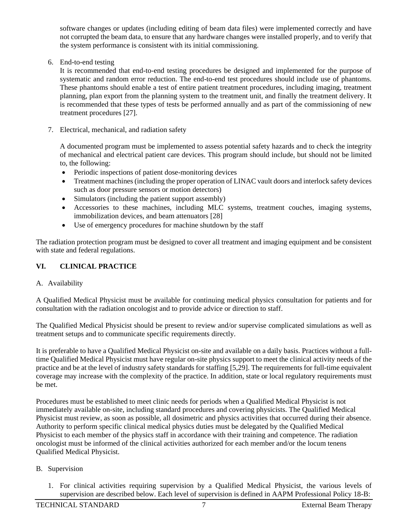software changes or updates (including editing of beam data files) were implemented correctly and have not corrupted the beam data, to ensure that any hardware changes were installed properly, and to verify that the system performance is consistent with its initial commissioning.

6. End-to-end testing

It is recommended that end-to-end testing procedures be designed and implemented for the purpose of systematic and random error reduction. The end-to-end test procedures should include use of phantoms. These phantoms should enable a test of entire patient treatment procedures, including imaging, treatment planning, plan export from the planning system to the treatment unit, and finally the treatment delivery. It is recommended that these types of tests be performed annually and as part of the commissioning of new treatment procedures [\[27\]](#page-12-2).

7. Electrical, mechanical, and radiation safety

A documented program must be implemented to assess potential safety hazards and to check the integrity of mechanical and electrical patient care devices. This program should include, but should not be limited to, the following:

- Periodic inspections of patient dose-monitoring devices
- Treatment machines (including the proper operation of LINAC vault doors and interlock safety devices such as door pressure sensors or motion detectors)
- Simulators (including the patient support assembly)
- Accessories to these machines, including MLC systems, treatment couches, imaging systems, immobilization devices, and beam attenuators [\[28\]](#page-12-3)
- Use of emergency procedures for machine shutdown by the staff

The radiation protection program must be designed to cover all treatment and imaging equipment and be consistent with state and federal regulations.

# **VI. CLINICAL PRACTICE**

# A. Availability

A Qualified Medical Physicist must be available for continuing medical physics consultation for patients and for consultation with the radiation oncologist and to provide advice or direction to staff.

The Qualified Medical Physicist should be present to review and/or supervise complicated simulations as well as treatment setups and to communicate specific requirements directly.

It is preferable to have a Qualified Medical Physicist on-site and available on a daily basis. Practices without a fulltime Qualified Medical Physicist must have regular on-site physics support to meet the clinical activity needs of the practice and be at the level of industry safety standards for staffing [\[5,](#page-11-4)[29\]](#page-12-4). The requirements for full-time equivalent coverage may increase with the complexity of the practice. In addition, state or local regulatory requirements must be met.

Procedures must be established to meet clinic needs for periods when a Qualified Medical Physicist is not immediately available on-site, including standard procedures and covering physicists. The Qualified Medical Physicist must review, as soon as possible, all dosimetric and physics activities that occurred during their absence. Authority to perform specific clinical medical physics duties must be delegated by the Qualified Medical Physicist to each member of the physics staff in accordance with their training and competence. The radiation oncologist must be informed of the clinical activities authorized for each member and/or the locum tenens Qualified Medical Physicist.

# B. Supervision

1. For clinical activities requiring supervision by a Qualified Medical Physicist, the various levels of supervision are described below. Each level of supervision is defined in AAPM Professional Policy 18-B: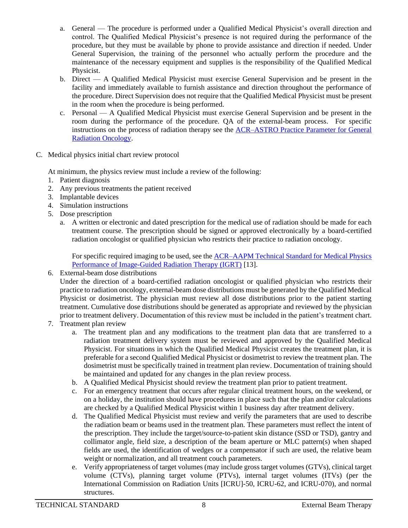- a. General The procedure is performed under a Qualified Medical Physicist's overall direction and control. The Qualified Medical Physicist's presence is not required during the performance of the procedure, but they must be available by phone to provide assistance and direction if needed. Under General Supervision, the training of the personnel who actually perform the procedure and the maintenance of the necessary equipment and supplies is the responsibility of the Qualified Medical Physicist.
- b. Direct A Qualified Medical Physicist must exercise General Supervision and be present in the facility and immediately available to furnish assistance and direction throughout the performance of the procedure. Direct Supervision does not require that the Qualified Medical Physicist must be present in the room when the procedure is being performed.
- c. Personal A Qualified Medical Physicist must exercise General Supervision and be present in the room during the performance of the procedure. QA of the external-beam process. For specific instructions on the process of radiation therapy see the [ACR–ASTRO Practice Parameter for General](https://www.acr.org/-/media/ACR/Files/Practice-Parameters/RadOnc.pdf)  [Radiation Oncology.](https://www.acr.org/-/media/ACR/Files/Practice-Parameters/RadOnc.pdf)
- C. Medical physics initial chart review protocol

At minimum, the physics review must include a review of the following:

- 1. Patient diagnosis
- 2. Any previous treatments the patient received
- 3. Implantable devices
- 4. Simulation instructions
- 5. Dose prescription
	- a. A written or electronic and dated prescription for the medical use of radiation should be made for each treatment course. The prescription should be signed or approved electronically by a board-certified radiation oncologist or qualified physician who restricts their practice to radiation oncology.

For specific required imaging to be used, see the **ACR–AAPM** Technical Standard for Medical Physics [Performance of Image-Guided Radiation Therapy \(IGRT\)](https://www.acr.org/-/media/ACR/Files/Practice-Parameters/IRGT-TS.pdf?la=en) [\[13\]](#page-11-9).

6. External-beam dose distributions

Under the direction of a board-certified radiation oncologist or qualified physician who restricts their practice to radiation oncology, external-beam dose distributions must be generated by the Qualified Medical Physicist or dosimetrist. The physician must review all dose distributions prior to the patient starting treatment. Cumulative dose distributions should be generated as appropriate and reviewed by the physician prior to treatment delivery. Documentation of this review must be included in the patient's treatment chart.

- 7. Treatment plan review
	- a. The treatment plan and any modifications to the treatment plan data that are transferred to a radiation treatment delivery system must be reviewed and approved by the Qualified Medical Physicist. For situations in which the Qualified Medical Physicist creates the treatment plan, it is preferable for a second Qualified Medical Physicist or dosimetrist to review the treatment plan. The dosimetrist must be specifically trained in treatment plan review. Documentation of training should be maintained and updated for any changes in the plan review process.
	- b. A Qualified Medical Physicist should review the treatment plan prior to patient treatment.
	- c. For an emergency treatment that occurs after regular clinical treatment hours, on the weekend, or on a holiday, the institution should have procedures in place such that the plan and/or calculations are checked by a Qualified Medical Physicist within 1 business day after treatment delivery.
	- d. The Qualified Medical Physicist must review and verify the parameters that are used to describe the radiation beam or beams used in the treatment plan. These parameters must reflect the intent of the prescription. They include the target/source-to-patient skin distance (SSD or TSD), gantry and collimator angle, field size, a description of the beam aperture or MLC pattern(s) when shaped fields are used, the identification of wedges or a compensator if such are used, the relative beam weight or normalization, and all treatment couch parameters.
	- e. Verify appropriateness of target volumes (may include gross target volumes (GTVs), clinical target volume (CTVs), planning target volume (PTVs), internal target volumes (ITVs) (per the International Commission on Radiation Units [ICRU]-50, ICRU-62, and ICRU-070), and normal structures.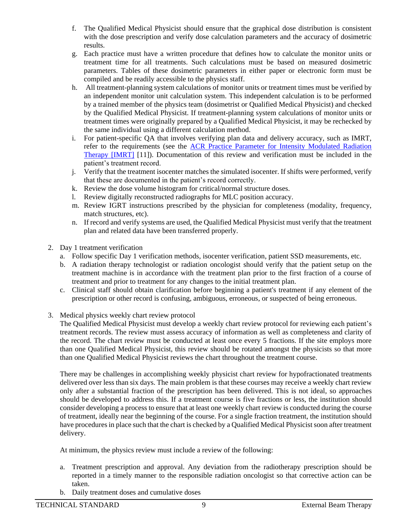- f. The Qualified Medical Physicist should ensure that the graphical dose distribution is consistent with the dose prescription and verify dose calculation parameters and the accuracy of dosimetric results.
- g. Each practice must have a written procedure that defines how to calculate the monitor units or treatment time for all treatments. Such calculations must be based on measured dosimetric parameters. Tables of these dosimetric parameters in either paper or electronic form must be compiled and be readily accessible to the physics staff.
- h. All treatment-planning system calculations of monitor units or treatment times must be verified by an independent monitor unit calculation system. This independent calculation is to be performed by a trained member of the physics team (dosimetrist or Qualified Medical Physicist) and checked by the Qualified Medical Physicist. If treatment-planning system calculations of monitor units or treatment times were originally prepared by a Qualified Medical Physicist, it may be rechecked by the same individual using a different calculation method.
- i. For patient-specific QA that involves verifying plan data and delivery accuracy, such as IMRT, refer to the requirements (see the **ACR Practice Parameter for Intensity Modulated Radiation** [Therapy \[IMRT\]](https://www.acr.org/-/media/ACR/Files/Practice-Parameters/IMRT-RO.pdf?la=en) [\[11\]](#page-11-17)). Documentation of this review and verification must be included in the patient's treatment record.
- j. Verify that the treatment isocenter matches the simulated isocenter. If shifts were performed, verify that these are documented in the patient's record correctly.
- k. Review the dose volume histogram for critical/normal structure doses.
- l. Review digitally reconstructed radiographs for MLC position accuracy.
- m. Review IGRT instructions prescribed by the physician for completeness (modality, frequency, match structures, etc).
- n. If record and verify systems are used, the Qualified Medical Physicist must verify that the treatment plan and related data have been transferred properly.
- 2. Day 1 treatment verification
	- a. Follow specific Day 1 verification methods, isocenter verification, patient SSD measurements, etc.
	- b. A radiation therapy technologist or radiation oncologist should verify that the patient setup on the treatment machine is in accordance with the treatment plan prior to the first fraction of a course of treatment and prior to treatment for any changes to the initial treatment plan.
	- c. Clinical staff should obtain clarification before beginning a patient's treatment if any element of the prescription or other record is confusing, ambiguous, erroneous, or suspected of being erroneous.
- 3. Medical physics weekly chart review protocol

The Qualified Medical Physicist must develop a weekly chart review protocol for reviewing each patient's treatment records. The review must assess accuracy of information as well as completeness and clarity of the record. The chart review must be conducted at least once every 5 fractions. If the site employs more than one Qualified Medical Physicist, this review should be rotated amongst the physicists so that more than one Qualified Medical Physicist reviews the chart throughout the treatment course.

There may be challenges in accomplishing weekly physicist chart review for hypofractionated treatments delivered over less than six days. The main problem is that these courses may receive a weekly chart review only after a substantial fraction of the prescription has been delivered. This is not ideal, so approaches should be developed to address this. If a treatment course is five fractions or less, the institution should consider developing a process to ensure that at least one weekly chart review is conducted during the course of treatment, ideally near the beginning of the course. For a single fraction treatment, the institution should have procedures in place such that the chart is checked by a Qualified Medical Physicist soon after treatment delivery.

At minimum, the physics review must include a review of the following:

- a. Treatment prescription and approval. Any deviation from the radiotherapy prescription should be reported in a timely manner to the responsible radiation oncologist so that corrective action can be taken.
- b. Daily treatment doses and cumulative doses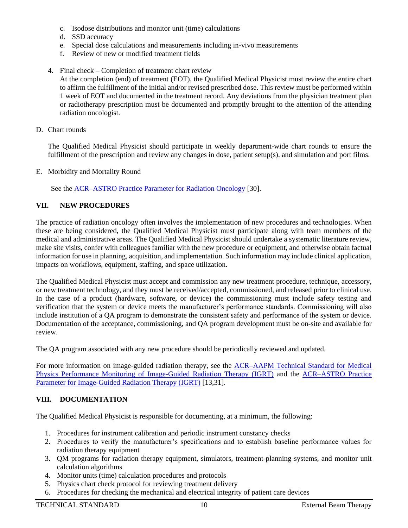- c. Isodose distributions and monitor unit (time) calculations
- d. SSD accuracy
- e. Special dose calculations and measurements including in-vivo measurements
- f. Review of new or modified treatment fields
- 4. Final check Completion of treatment chart review

At the completion (end) of treatment (EOT), the Qualified Medical Physicist must review the entire chart to affirm the fulfillment of the initial and/or revised prescribed dose. This review must be performed within 1 week of EOT and documented in the treatment record. Any deviations from the physician treatment plan or radiotherapy prescription must be documented and promptly brought to the attention of the attending radiation oncologist.

D. Chart rounds

The Qualified Medical Physicist should participate in weekly department-wide chart rounds to ensure the fulfillment of the prescription and review any changes in dose, patient setup(s), and simulation and port films.

E. Morbidity and Mortality Round

See the [ACR–ASTRO Practice Parameter for Radiation Oncology](https://www.acr.org/-/media/ACR/Files/Practice-Parameters/RadOnc.pdf?la=en) [\[30\]](#page-12-5).

# **VII. NEW PROCEDURES**

The practice of radiation oncology often involves the implementation of new procedures and technologies. When these are being considered, the Qualified Medical Physicist must participate along with team members of the medical and administrative areas. The Qualified Medical Physicist should undertake a systematic literature review, make site visits, confer with colleagues familiar with the new procedure or equipment, and otherwise obtain factual information for use in planning, acquisition, and implementation. Such information may include clinical application, impacts on workflows, equipment, staffing, and space utilization.

The Qualified Medical Physicist must accept and commission any new treatment procedure, technique, accessory, or new treatment technology, and they must be received/accepted, commissioned, and released prior to clinical use. In the case of a product (hardware, software, or device) the commissioning must include safety testing and verification that the system or device meets the manufacturer's performance standards. Commissioning will also include institution of a QA program to demonstrate the consistent safety and performance of the system or device. Documentation of the acceptance, commissioning, and QA program development must be on-site and available for review.

The QA program associated with any new procedure should be periodically reviewed and updated.

For more information on image-guided radiation therapy, see the [ACR–AAPM Technical Standard for Medical](https://www.acr.org/-/media/ACR/Files/Practice-Parameters/IRGT-TS.pdf?la=en)  [Physics Performance Monitoring of Image-Guided Radiation Therapy \(IGRT\)](https://www.acr.org/-/media/ACR/Files/Practice-Parameters/IRGT-TS.pdf?la=en) and the [ACR–ASTRO Practice](https://www.acr.org/-/media/ACR/Files/Practice-Parameters/IGRT-RO.pdf?la=en)  [Parameter for Image-Guided Radiation Therapy \(IGRT\)](https://www.acr.org/-/media/ACR/Files/Practice-Parameters/IGRT-RO.pdf?la=en) [\[13,](#page-11-9)[31\]](#page-12-6).

# **VIII. DOCUMENTATION**

The Qualified Medical Physicist is responsible for documenting, at a minimum, the following:

- 1. Procedures for instrument calibration and periodic instrument constancy checks
- 2. Procedures to verify the manufacturer's specifications and to establish baseline performance values for radiation therapy equipment
- 3. QM programs for radiation therapy equipment, simulators, treatment-planning systems, and monitor unit calculation algorithms
- 4. Monitor units (time) calculation procedures and protocols
- 5. Physics chart check protocol for reviewing treatment delivery
- 6. Procedures for checking the mechanical and electrical integrity of patient care devices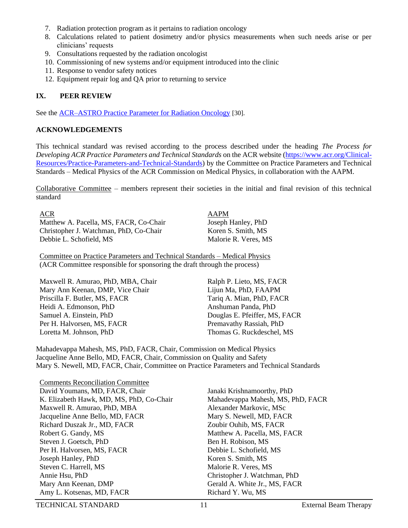- 7. Radiation protection program as it pertains to radiation oncology
- 8. Calculations related to patient dosimetry and/or physics measurements when such needs arise or per clinicians' requests
- 9. Consultations requested by the radiation oncologist
- 10. Commissioning of new systems and/or equipment introduced into the clinic
- 11. Response to vendor safety notices
- 12. Equipment repair log and QA prior to returning to service

# **IX. PEER REVIEW**

See the [ACR–ASTRO Practice Parameter for Radiation Oncology](https://www.acr.org/-/media/ACR/Files/Practice-Parameters/RadOnc.pdf?la=en) [\[30\]](#page-12-5).

### **ACKNOWLEDGEMENTS**

This technical standard was revised according to the process described under the heading *The Process for Developing ACR Practice Parameters and Technical Standards* on the ACR website [\(https://www.acr.org/Clinical-](https://www.acr.org/Clinical-Resources/Practice-Parameters-and-Technical-Standards)[Resources/Practice-Parameters-and-Technical-Standards\)](https://www.acr.org/Clinical-Resources/Practice-Parameters-and-Technical-Standards) by the Committee on Practice Parameters and Technical Standards – Medical Physics of the ACR Commission on Medical Physics, in collaboration with the AAPM.

Collaborative Committee – members represent their societies in the initial and final revision of this technical standard

| ACR                                    | AAPM                 |
|----------------------------------------|----------------------|
| Matthew A. Pacella, MS, FACR, Co-Chair | Joseph Hanley, PhD   |
| Christopher J. Watchman, PhD, Co-Chair | Koren S. Smith, MS   |
| Debbie L. Schofield, MS                | Malorie R. Veres, MS |

Committee on Practice Parameters and Technical Standards – Medical Physics (ACR Committee responsible for sponsoring the draft through the process)

Maxwell R. Amurao, PhD, MBA, Chair Ralph P. Lieto, MS, FACR Mary Ann Keenan, DMP, Vice Chair Lijun Ma, PhD, FAAPM Priscilla F. Butler, MS, FACR Tariq A. Mian, PhD, FACR Heidi A. Edmonson, PhD **Anshuman Panda**, PhD Samuel A. Einstein, PhD Douglas E. Pfeiffer, MS, FACR Per H. Halvorsen, MS, FACR Premavathy Rassiah, PhD Loretta M. Johnson, PhD Thomas G. Ruckdeschel, MS

Mahadevappa Mahesh, MS, PhD, FACR, Chair, Commission on Medical Physics Jacqueline Anne Bello, MD, FACR, Chair, Commission on Quality and Safety Mary S. Newell, MD, FACR, Chair, Committee on Practice Parameters and Technical Standards

Comments Reconciliation Committee David Youmans, MD, FACR, Chair Janaki Krishnamoorthy, PhD K. Elizabeth Hawk, MD, MS, PhD, Co-Chair Mahadevappa Mahesh, MS, PhD, FACR Maxwell R. Amurao, PhD, MBA Alexander Markovic, MSc Jacqueline Anne Bello, MD, FACR Mary S. Newell, MD, FACR Richard Duszak Jr., MD, FACR Zoubir Ouhib, MS, FACR Robert G. Gandy, MS Matthew A. Pacella, MS, FACR Steven J. Goetsch, PhD Ben H. Robison, MS Per H. Halvorsen, MS, FACR Debbie L. Schofield, MS Joseph Hanley, PhD Koren S. Smith, MS Steven C. Harrell, MS Malorie R. Veres, MS Annie Hsu, PhD Christopher J. Watchman, PhD Mary Ann Keenan, DMP Gerald A. White Jr., MS, FACR Amy L. Kotsenas, MD, FACR Richard Y. Wu, MS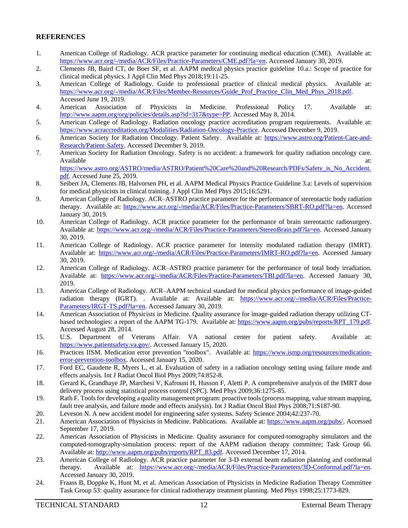#### **REFERENCES**

- <span id="page-11-0"></span>1. American College of Radiology. ACR practice parameter for continuing medical education (CME). Available at: [https://www.acr.org/-/media/ACR/Files/Practice-Parameters/CME.pdf?la=en.](https://www.acr.org/-/media/ACR/Files/Practice-Parameters/CME.pdf?la=en) Accessed January 30, 2019.
- <span id="page-11-1"></span>2. Clements JB, Baird CT, de Boer SF, et al. AAPM medical physics practice guideline 10.a.: Scope of practice for clinical medical physics. J Appl Clin Med Phys 2018;19:11-25.
- <span id="page-11-2"></span>3. American College of Radiology. Guide to professional practice of clinical medical physics. Available at: [https://www.acr.org/-/media/ACR/Files/Member-Resources/Guide\\_Prof\\_Practice\\_Clin\\_Med\\_Phys\\_2018.pdf.](https://www.acr.org/-/media/ACR/Files/Member-Resources/Guide_Prof_Practice_Clin_Med_Phys_2018.pdf) Accessed June 19, 2019.
- <span id="page-11-3"></span>4. American Association of Physicists in Medicine. Professional Policy 17. Available at: [http://www.aapm.org/org/policies/details.asp?id=317&type=PP.](http://www.aapm.org/org/policies/details.asp?id=317&type=PP) Accessed May 8, 2014.
- <span id="page-11-4"></span>5. American College of Radiology. Radiation oncology practice accreditation program requirements. Available at: [https://www.acraccreditation.org/Modalities/Radiation-Oncology-Practice.](https://www.acraccreditation.org/Modalities/Radiation-Oncology-Practice) Accessed December 9, 2019.
- <span id="page-11-5"></span>6. American Society for Radiation Oncology. Patient Safety. Available at: [https://www.astro.org/Patient-Care-and-](https://www.astro.org/Patient-Care-and-Research/Patient-Safety)[Research/Patient-Safety.](https://www.astro.org/Patient-Care-and-Research/Patient-Safety) Accessed December 9, 2019.
- <span id="page-11-6"></span>7. American Society for Radiation Oncology. Safety is no accident: a framework for quality radiation oncology care. Available at: and a state of the state at a state at a state at a state at a state at a state at a state at a state at a state at a state at a state at a state at a state at a state at a state at a state at a state at a st [https://www.astro.org/ASTRO/media/ASTRO/Patient%20Care%20and%20Research/PDFs/Safety\\_is\\_No\\_Accident.](https://www.astro.org/ASTRO/media/ASTRO/Patient%20Care%20and%20Research/PDFs/Safety_is_No_Accident.pdf) [pdf.](https://www.astro.org/ASTRO/media/ASTRO/Patient%20Care%20and%20Research/PDFs/Safety_is_No_Accident.pdf) Accessed June 25, 2019.
- <span id="page-11-7"></span>8. Seibert JA, Clements JB, Halvorsen PH, et al. AAPM Medical Physics Practice Guideline 3.a: Levels of supervision for medical physicists in clinical training. J Appl Clin Med Phys 2015;16:5291.
- <span id="page-11-8"></span>9. American College of Radiology. ACR–ASTRO practice parameter for the performance of stereotactic body radiation therapy. Available at: [https://www.acr.org/-/media/ACR/Files/Practice-Parameters/SBRT-RO.pdf?la=en.](https://www.acr.org/-/media/ACR/Files/Practice-Parameters/SBRT-RO.pdf?la=en) Accessed January 30, 2019.
- 10. American College of Radiology. ACR practice parameter for the performance of brain stereotactic radiosurgery. Available at: [https://www.acr.org/-/media/ACR/Files/Practice-Parameters/StereoBrain.pdf?la=en.](https://www.acr.org/-/media/ACR/Files/Practice-Parameters/StereoBrain.pdf?la=en) Accessed January 30, 2019.
- <span id="page-11-17"></span>11. American College of Radiology. ACR practice parameter for intensity modulated radiation therapy (IMRT). Available at: [https://www.acr.org/-/media/ACR/Files/Practice-Parameters/IMRT-RO.pdf?la=en.](https://www.acr.org/-/media/ACR/Files/Practice-Parameters/IMRT-RO.pdf?la=en) Accessed January 30, 2019.
- 12. American College of Radiology. ACR–ASTRO practice parameter for the performance of total body irradiation. Available at: [https://www.acr.org/-/media/ACR/Files/Practice-Parameters/TBI.pdf?la=en.](https://www.acr.org/-/media/ACR/Files/Practice-Parameters/TBI.pdf?la=en) Accessed January 30, 2019.
- <span id="page-11-9"></span>13. American College of Radiology. ACR–AAPM technical standard for medical physics performance of image-guided radiation therapy (IGRT). . Available at: Available at: [https://www.acr.org/-/media/ACR/Files/Practice-](https://www.acr.org/-/media/ACR/Files/Practice-Parameters/IRGT-TS.pdf?la=en)[Parameters/IRGT-TS.pdf?la=en.](https://www.acr.org/-/media/ACR/Files/Practice-Parameters/IRGT-TS.pdf?la=en) Accessed January 30, 2019.
- <span id="page-11-10"></span>14. American Association of Physicists in Medicine. Quality assurance for image-guided radiation therapy utilizing CTbased technologies: a report of the AAPM TG-179. Available at: [https://www.aapm.org/pubs/reports/RPT\\_179.pdf.](https://www.aapm.org/pubs/reports/RPT_179.pdf) Accessed August 28, 2014.
- <span id="page-11-11"></span>15. U.S. Department of Veterans Affair. VA national center for patient safety. Available at: [https://www.patientsafety.va.gov/.](https://www.patientsafety.va.gov/) Accessed January 15, 2020.
- <span id="page-11-12"></span>16. Practices IfSM. Medication error prevention "toolbox". Available at: [https://www.ismp.org/resources/medication](https://www.ismp.org/resources/medication-error-prevention-toolbox)[error-prevention-toolbox.](https://www.ismp.org/resources/medication-error-prevention-toolbox) Accessed January 15, 2020.
- <span id="page-11-13"></span>17. Ford EC, Gaudette R, Myers L, et al. Evaluation of safety in a radiation oncology setting using failure mode and effects analysis. Int J Radiat Oncol Biol Phys 2009;74:852-8.
- 18. Gerard K, Grandhaye JP, Marchesi V, Kafrouni H, Husson F, Aletti P. A comprehensive analysis of the IMRT dose delivery process using statistical process control (SPC). Med Phys 2009;36:1275-85.
- 19. Rath F. Tools for developing a quality management program: proactive tools (process mapping, value stream mapping, fault tree analysis, and failure mode and effects analysis). Int J Radiat Oncol Biol Phys 2008;71:S187-90.
- 20. Leveson N. A new accident model for engineering safer systems. Safety Science 2004;42:237-70.
- <span id="page-11-14"></span>21. American Association of Physicists in Medicine. Publications. Available at: [https://www.aapm.org/pubs/.](https://www.aapm.org/pubs/) Accessed September 17, 2019.
- <span id="page-11-15"></span>22. American Association of Physicists in Medicine. Quality assurance for computed-tomography simulators and the computed-tomography-simulation process: report of the AAPM radiation therapy committee; Task Group 66. Available at: [http://www.aapm.org/pubs/reports/RPT\\_83.pdf.](http://www.aapm.org/pubs/reports/RPT_83.pdf) Accessed December 17, 2014.
- <span id="page-11-16"></span>23. American College of Radiology. ACR practice parameter for 3-D external beam radiation planning and conformal therapy. Available at: [https://www.acr.org/-/media/ACR/Files/Practice-Parameters/3D-Conformal.pdf?la=en.](https://www.acr.org/-/media/ACR/Files/Practice-Parameters/3D-Conformal.pdf?la=en) Accessed January 30, 2019.
- 24. Fraass B, Doppke K, Hunt M, et al. American Association of Physicists in Medicine Radiation Therapy Committee Task Group 53: quality assurance for clinical radiotherapy treatment planning. Med Phys 1998;25:1773-829.